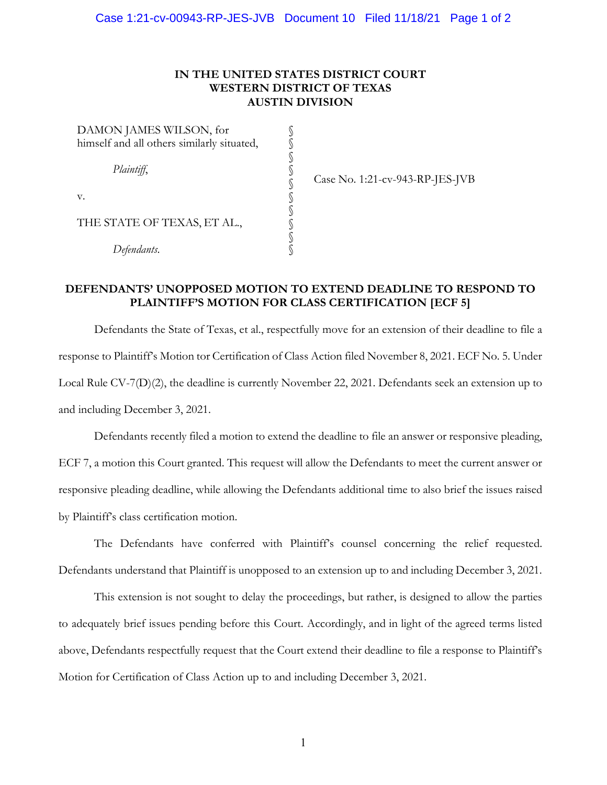## **IN THE UNITED STATES DISTRICT COURT WESTERN DISTRICT OF TEXAS AUSTIN DIVISION**

§ § § § § § § § § §

DAMON JAMES WILSON, for himself and all others similarly situated, *Plaintiff*, v. THE STATE OF TEXAS, ET AL., *Defendants*.

Case No. 1:21-cv-943-RP-JES-JVB

## **DEFENDANTS' UNOPPOSED MOTION TO EXTEND DEADLINE TO RESPOND TO PLAINTIFF'S MOTION FOR CLASS CERTIFICATION [ECF 5]**

Defendants the State of Texas, et al., respectfully move for an extension of their deadline to file a response to Plaintiff's Motion tor Certification of Class Action filed November 8, 2021. ECF No. 5. Under Local Rule CV-7(D)(2), the deadline is currently November 22, 2021. Defendants seek an extension up to and including December 3, 2021.

Defendants recently filed a motion to extend the deadline to file an answer or responsive pleading, ECF 7, a motion this Court granted. This request will allow the Defendants to meet the current answer or responsive pleading deadline, while allowing the Defendants additional time to also brief the issues raised by Plaintiff's class certification motion.

The Defendants have conferred with Plaintiff's counsel concerning the relief requested. Defendants understand that Plaintiff is unopposed to an extension up to and including December 3, 2021.

This extension is not sought to delay the proceedings, but rather, is designed to allow the parties to adequately brief issues pending before this Court. Accordingly, and in light of the agreed terms listed above, Defendants respectfully request that the Court extend their deadline to file a response to Plaintiff's Motion for Certification of Class Action up to and including December 3, 2021.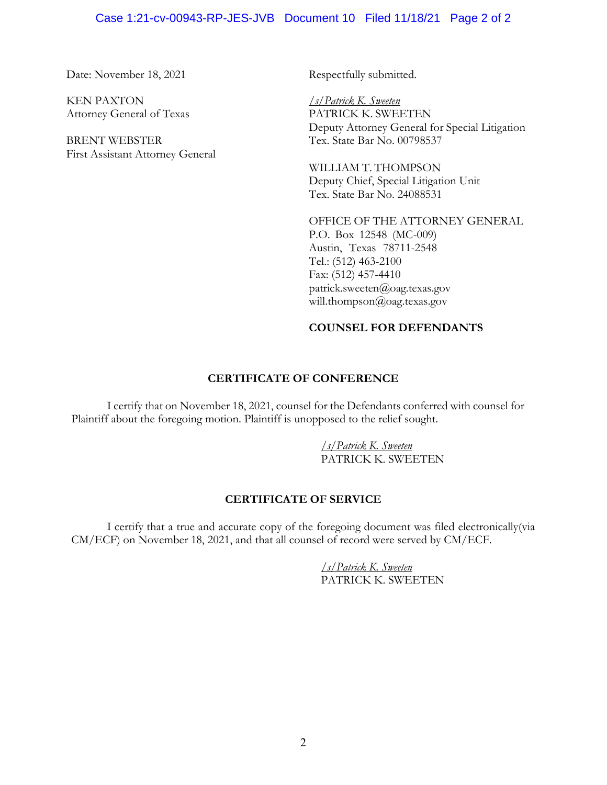#### Case 1:21-cv-00943-RP-JES-JVB Document 10 Filed 11/18/21 Page 2 of 2

Date: November 18, 2021

KEN PAXTON Attorney General of Texas

BRENT WEBSTER First Assistant Attorney General Respectfully submitted.

*/s/Patrick K. Sweeten* PATRICK K. SWEETEN Deputy Attorney General for Special Litigation Tex. State Bar No. 00798537

WILLIAM T. THOMPSON Deputy Chief, Special Litigation Unit Tex. State Bar No. 24088531

OFFICE OF THE ATTORNEY GENERAL P.O. Box 12548 (MC-009) Austin, Texas 78711-2548 Tel.: (512) 463-2100 Fax: (512) 457-4410 patrick.sweeten@oag.texas.gov will.thompson@oag.texas.gov

# **COUNSEL FOR DEFENDANTS**

## **CERTIFICATE OF CONFERENCE**

I certify that on November 18, 2021, counsel for the Defendants conferred with counsel for Plaintiff about the foregoing motion. Plaintiff is unopposed to the relief sought.

> */s/Patrick K. Sweeten* PATRICK K. SWEETEN

#### **CERTIFICATE OF SERVICE**

I certify that a true and accurate copy of the foregoing document was filed electronically(via CM/ECF) on November 18, 2021, and that all counsel of record were served by CM/ECF.

> */s/Patrick K. Sweeten* PATRICK K. SWEETEN